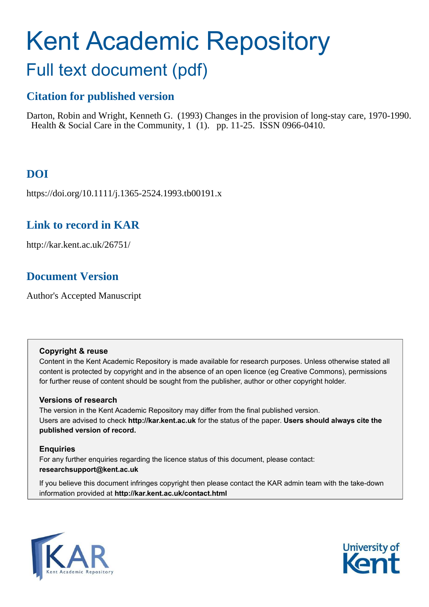# Kent Academic Repository

## Full text document (pdf)

## **Citation for published version**

Darton, Robin and Wright, Kenneth G. (1993) Changes in the provision of long-stay care, 1970-1990. Health & Social Care in the Community, 1 (1). pp. 11-25. ISSN 0966-0410.

## **DOI**

https://doi.org/10.1111/j.1365-2524.1993.tb00191.x

## **Link to record in KAR**

http://kar.kent.ac.uk/26751/

## **Document Version**

Author's Accepted Manuscript

#### **Copyright & reuse**

Content in the Kent Academic Repository is made available for research purposes. Unless otherwise stated all content is protected by copyright and in the absence of an open licence (eg Creative Commons), permissions for further reuse of content should be sought from the publisher, author or other copyright holder.

#### **Versions of research**

The version in the Kent Academic Repository may differ from the final published version. Users are advised to check **http://kar.kent.ac.uk** for the status of the paper. **Users should always cite the published version of record.**

#### **Enquiries**

For any further enquiries regarding the licence status of this document, please contact: **researchsupport@kent.ac.uk**

If you believe this document infringes copyright then please contact the KAR admin team with the take-down information provided at **http://kar.kent.ac.uk/contact.html**



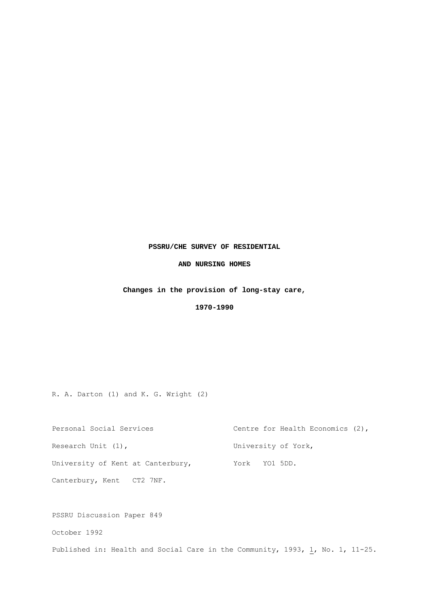#### **PSSRU/CHE SURVEY OF RESIDENTIAL**

#### **AND NURSING HOMES**

#### **Changes in the provision of long-stay care,**

 **1970-1990**

R. A. Darton (1) and K. G. Wright (2)

| Personal Social Services          | Centre for Health Economics (2), |
|-----------------------------------|----------------------------------|
| Research Unit (1),                | University of York,              |
| University of Kent at Canterbury, | York YO1 5DD.                    |
| Canterbury, Kent CT2 7NF.         |                                  |

PSSRU Discussion Paper 849 October 1992 Published in: Health and Social Care in the Community, 1993,  $\underline{1}$ , No. 1, 11-25.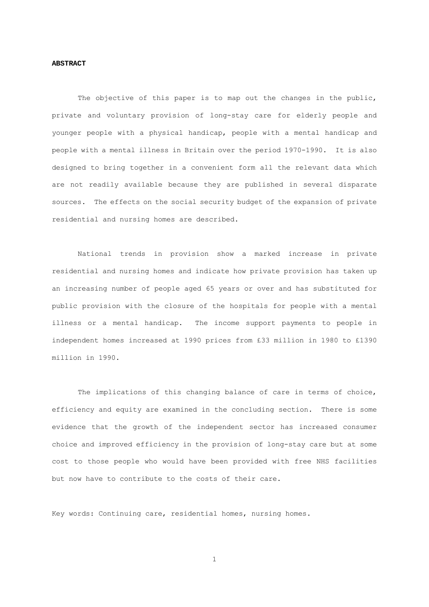#### **ABSTRACT**

The objective of this paper is to map out the changes in the public, private and voluntary provision of long-stay care for elderly people and younger people with a physical handicap, people with a mental handicap and people with a mental illness in Britain over the period 1970-1990. It is also designed to bring together in a convenient form all the relevant data which are not readily available because they are published in several disparate sources. The effects on the social security budget of the expansion of private residential and nursing homes are described.

 National trends in provision show a marked increase in private residential and nursing homes and indicate how private provision has taken up an increasing number of people aged 65 years or over and has substituted for public provision with the closure of the hospitals for people with a mental illness or a mental handicap. The income support payments to people in independent homes increased at 1990 prices from £33 million in 1980 to £1390 million in 1990.

 The implications of this changing balance of care in terms of choice, efficiency and equity are examined in the concluding section. There is some evidence that the growth of the independent sector has increased consumer choice and improved efficiency in the provision of long-stay care but at some cost to those people who would have been provided with free NHS facilities but now have to contribute to the costs of their care.

Key words: Continuing care, residential homes, nursing homes.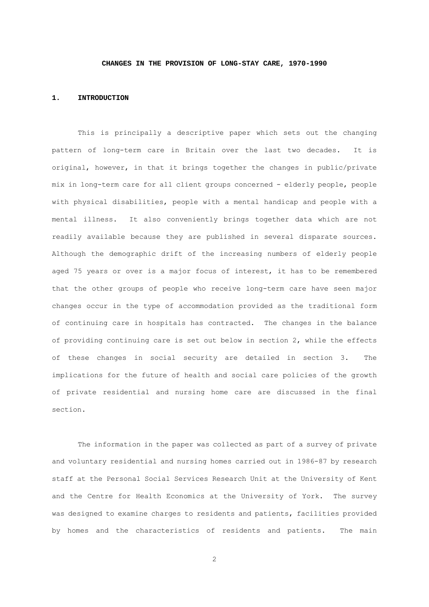#### **CHANGES IN THE PROVISION OF LONG-STAY CARE, 1970-1990**

#### **1. INTRODUCTION**

 This is principally a descriptive paper which sets out the changing pattern of long-term care in Britain over the last two decades. It is original, however, in that it brings together the changes in public/private mix in long-term care for all client groups concerned - elderly people, people with physical disabilities, people with a mental handicap and people with a mental illness. It also conveniently brings together data which are not readily available because they are published in several disparate sources. Although the demographic drift of the increasing numbers of elderly people aged 75 years or over is a major focus of interest, it has to be remembered that the other groups of people who receive long-term care have seen major changes occur in the type of accommodation provided as the traditional form of continuing care in hospitals has contracted. The changes in the balance of providing continuing care is set out below in section 2, while the effects of these changes in social security are detailed in section 3. The implications for the future of health and social care policies of the growth of private residential and nursing home care are discussed in the final section.

 The information in the paper was collected as part of a survey of private and voluntary residential and nursing homes carried out in 1986-87 by research staff at the Personal Social Services Research Unit at the University of Kent and the Centre for Health Economics at the University of York. The survey was designed to examine charges to residents and patients, facilities provided by homes and the characteristics of residents and patients. The main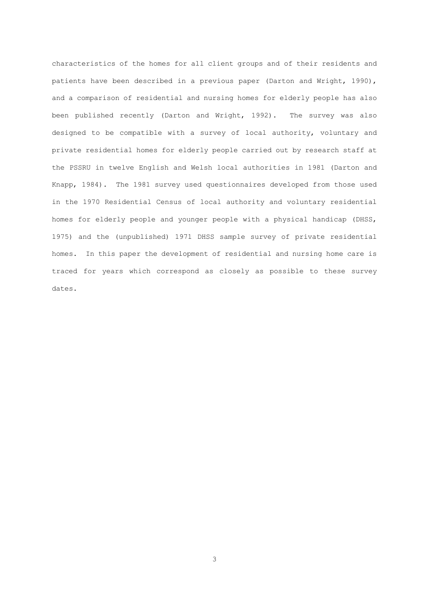characteristics of the homes for all client groups and of their residents and patients have been described in a previous paper (Darton and Wright, 1990), and a comparison of residential and nursing homes for elderly people has also been published recently (Darton and Wright, 1992). The survey was also designed to be compatible with a survey of local authority, voluntary and private residential homes for elderly people carried out by research staff at the PSSRU in twelve English and Welsh local authorities in 1981 (Darton and Knapp, 1984). The 1981 survey used questionnaires developed from those used in the 1970 Residential Census of local authority and voluntary residential homes for elderly people and younger people with a physical handicap (DHSS, 1975) and the (unpublished) 1971 DHSS sample survey of private residential homes. In this paper the development of residential and nursing home care is traced for years which correspond as closely as possible to these survey dates.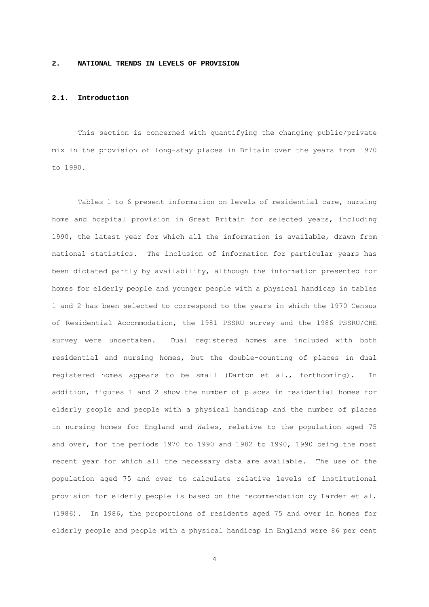#### **2. NATIONAL TRENDS IN LEVELS OF PROVISION**

#### **2.1. Introduction**

 This section is concerned with quantifying the changing public/private mix in the provision of long-stay places in Britain over the years from 1970 to 1990.

 Tables 1 to 6 present information on levels of residential care, nursing home and hospital provision in Great Britain for selected years, including 1990, the latest year for which all the information is available, drawn from national statistics. The inclusion of information for particular years has been dictated partly by availability, although the information presented for homes for elderly people and younger people with a physical handicap in tables 1 and 2 has been selected to correspond to the years in which the 1970 Census of Residential Accommodation, the 1981 PSSRU survey and the 1986 PSSRU/CHE survey were undertaken. Dual registered homes are included with both residential and nursing homes, but the double-counting of places in dual registered homes appears to be small (Darton et al., forthcoming). In addition, figures 1 and 2 show the number of places in residential homes for elderly people and people with a physical handicap and the number of places in nursing homes for England and Wales, relative to the population aged 75 and over, for the periods 1970 to 1990 and 1982 to 1990, 1990 being the most recent year for which all the necessary data are available. The use of the population aged 75 and over to calculate relative levels of institutional provision for elderly people is based on the recommendation by Larder et al. (1986). In 1986, the proportions of residents aged 75 and over in homes for elderly people and people with a physical handicap in England were 86 per cent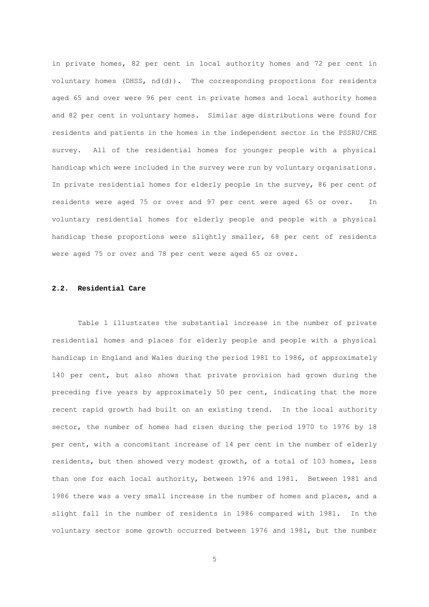in private homes, 82 per cent in local authority homes and 72 per cent in voluntary homes (DHSS, nd(d)). The corresponding proportions for residents aged 65 and over were 96 per cent in private homes and local authority homes and 82 per cent in voluntary homes. Similar age distributions were found for residents and patients in the homes in the independent sector in the PSSRU/CHE survey. All of the residential homes for younger people with a physical handicap which were included in the survey were run by voluntary organisations. In private residential homes for elderly people in the survey, 86 per cent of residents were aged 75 or over and 97 per cent were aged 65 or over. In voluntary residential homes for elderly people and people with a physical handicap these proportions were slightly smaller, 68 per cent of residents were aged 75 or over and 78 per cent were aged 65 or over.

#### **2.2. Residential Care**

 Table 1 illustrates the substantial increase in the number of private residential homes and places for elderly people and people with a physical handicap in England and Wales during the period 1981 to 1986, of approximately 140 per cent, but also shows that private provision had grown during the preceding five years by approximately 50 per cent, indicating that the more recent rapid growth had built on an existing trend. In the local authority sector, the number of homes had risen during the period 1970 to 1976 by 18 per cent, with a concomitant increase of 14 per cent in the number of elderly residents, but then showed very modest growth, of a total of 103 homes, less than one for each local authority, between 1976 and 1981. Between 1981 and 1986 there was a very small increase in the number of homes and places, and a slight fall in the number of residents in 1986 compared with 1981. In the voluntary sector some growth occurred between 1976 and 1981, but the number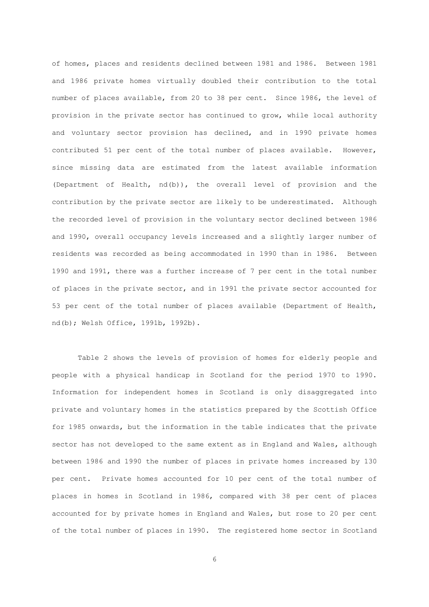of homes, places and residents declined between 1981 and 1986. Between 1981 and 1986 private homes virtually doubled their contribution to the total number of places available, from 20 to 38 per cent. Since 1986, the level of provision in the private sector has continued to grow, while local authority and voluntary sector provision has declined, and in 1990 private homes contributed 51 per cent of the total number of places available. However, since missing data are estimated from the latest available information (Department of Health, nd(b)), the overall level of provision and the contribution by the private sector are likely to be underestimated. Although the recorded level of provision in the voluntary sector declined between 1986 and 1990, overall occupancy levels increased and a slightly larger number of residents was recorded as being accommodated in 1990 than in 1986. Between 1990 and 1991, there was a further increase of 7 per cent in the total number of places in the private sector, and in 1991 the private sector accounted for 53 per cent of the total number of places available (Department of Health, nd(b); Welsh Office, 1991b, 1992b).

 Table 2 shows the levels of provision of homes for elderly people and people with a physical handicap in Scotland for the period 1970 to 1990. Information for independent homes in Scotland is only disaggregated into private and voluntary homes in the statistics prepared by the Scottish Office for 1985 onwards, but the information in the table indicates that the private sector has not developed to the same extent as in England and Wales, although between 1986 and 1990 the number of places in private homes increased by 130 per cent. Private homes accounted for 10 per cent of the total number of places in homes in Scotland in 1986, compared with 38 per cent of places accounted for by private homes in England and Wales, but rose to 20 per cent of the total number of places in 1990. The registered home sector in Scotland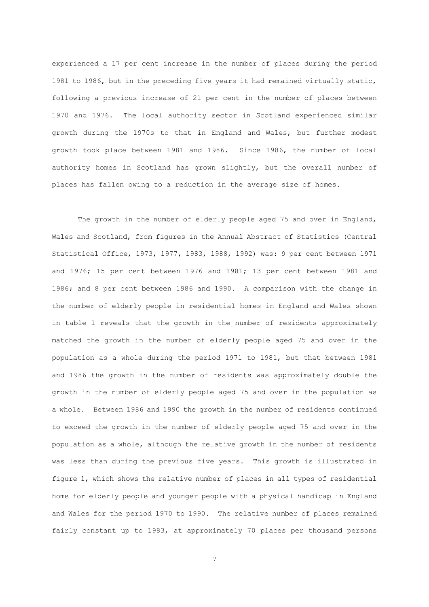experienced a 17 per cent increase in the number of places during the period 1981 to 1986, but in the preceding five years it had remained virtually static, following a previous increase of 21 per cent in the number of places between 1970 and 1976. The local authority sector in Scotland experienced similar growth during the 1970s to that in England and Wales, but further modest growth took place between 1981 and 1986. Since 1986, the number of local authority homes in Scotland has grown slightly, but the overall number of places has fallen owing to a reduction in the average size of homes.

 The growth in the number of elderly people aged 75 and over in England, Wales and Scotland, from figures in the Annual Abstract of Statistics (Central Statistical Office, 1973, 1977, 1983, 1988, 1992) was: 9 per cent between 1971 and 1976; 15 per cent between 1976 and 1981; 13 per cent between 1981 and 1986; and 8 per cent between 1986 and 1990. A comparison with the change in the number of elderly people in residential homes in England and Wales shown in table 1 reveals that the growth in the number of residents approximately matched the growth in the number of elderly people aged 75 and over in the population as a whole during the period 1971 to 1981, but that between 1981 and 1986 the growth in the number of residents was approximately double the growth in the number of elderly people aged 75 and over in the population as a whole. Between 1986 and 1990 the growth in the number of residents continued to exceed the growth in the number of elderly people aged 75 and over in the population as a whole, although the relative growth in the number of residents was less than during the previous five years. This growth is illustrated in figure 1, which shows the relative number of places in all types of residential home for elderly people and younger people with a physical handicap in England and Wales for the period 1970 to 1990. The relative number of places remained fairly constant up to 1983, at approximately 70 places per thousand persons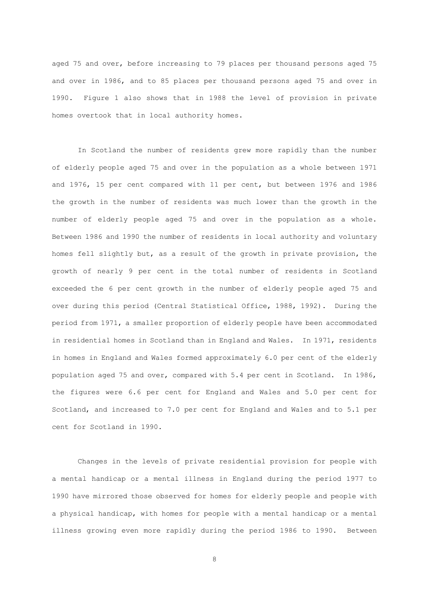aged 75 and over, before increasing to 79 places per thousand persons aged 75 and over in 1986, and to 85 places per thousand persons aged 75 and over in 1990. Figure 1 also shows that in 1988 the level of provision in private homes overtook that in local authority homes.

 In Scotland the number of residents grew more rapidly than the number of elderly people aged 75 and over in the population as a whole between 1971 and 1976, 15 per cent compared with 11 per cent, but between 1976 and 1986 the growth in the number of residents was much lower than the growth in the number of elderly people aged 75 and over in the population as a whole. Between 1986 and 1990 the number of residents in local authority and voluntary homes fell slightly but, as a result of the growth in private provision, the growth of nearly 9 per cent in the total number of residents in Scotland exceeded the 6 per cent growth in the number of elderly people aged 75 and over during this period (Central Statistical Office, 1988, 1992). During the period from 1971, a smaller proportion of elderly people have been accommodated in residential homes in Scotland than in England and Wales. In 1971, residents in homes in England and Wales formed approximately 6.0 per cent of the elderly population aged 75 and over, compared with 5.4 per cent in Scotland. In 1986, the figures were 6.6 per cent for England and Wales and 5.0 per cent for Scotland, and increased to 7.0 per cent for England and Wales and to 5.1 per cent for Scotland in 1990.

 Changes in the levels of private residential provision for people with a mental handicap or a mental illness in England during the period 1977 to 1990 have mirrored those observed for homes for elderly people and people with a physical handicap, with homes for people with a mental handicap or a mental illness growing even more rapidly during the period 1986 to 1990. Between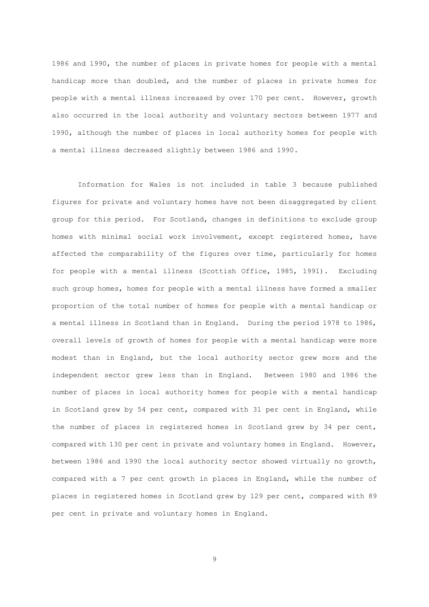1986 and 1990, the number of places in private homes for people with a mental handicap more than doubled, and the number of places in private homes for people with a mental illness increased by over 170 per cent. However, growth also occurred in the local authority and voluntary sectors between 1977 and 1990, although the number of places in local authority homes for people with a mental illness decreased slightly between 1986 and 1990.

 Information for Wales is not included in table 3 because published figures for private and voluntary homes have not been disaggregated by client group for this period. For Scotland, changes in definitions to exclude group homes with minimal social work involvement, except registered homes, have affected the comparability of the figures over time, particularly for homes for people with a mental illness (Scottish Office, 1985, 1991). Excluding such group homes, homes for people with a mental illness have formed a smaller proportion of the total number of homes for people with a mental handicap or a mental illness in Scotland than in England. During the period 1978 to 1986, overall levels of growth of homes for people with a mental handicap were more modest than in England, but the local authority sector grew more and the independent sector grew less than in England. Between 1980 and 1986 the number of places in local authority homes for people with a mental handicap in Scotland grew by 54 per cent, compared with 31 per cent in England, while the number of places in registered homes in Scotland grew by 34 per cent, compared with 130 per cent in private and voluntary homes in England. However, between 1986 and 1990 the local authority sector showed virtually no growth, compared with a 7 per cent growth in places in England, while the number of places in registered homes in Scotland grew by 129 per cent, compared with 89 per cent in private and voluntary homes in England.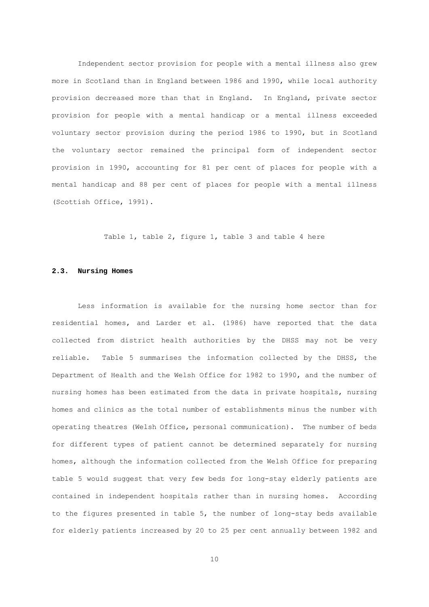Independent sector provision for people with a mental illness also grew more in Scotland than in England between 1986 and 1990, while local authority provision decreased more than that in England. In England, private sector provision for people with a mental handicap or a mental illness exceeded voluntary sector provision during the period 1986 to 1990, but in Scotland the voluntary sector remained the principal form of independent sector provision in 1990, accounting for 81 per cent of places for people with a mental handicap and 88 per cent of places for people with a mental illness (Scottish Office, 1991).

Table 1, table 2, figure 1, table 3 and table 4 here

#### **2.3. Nursing Homes**

 Less information is available for the nursing home sector than for residential homes, and Larder et al. (1986) have reported that the data collected from district health authorities by the DHSS may not be very reliable. Table 5 summarises the information collected by the DHSS, the Department of Health and the Welsh Office for 1982 to 1990, and the number of nursing homes has been estimated from the data in private hospitals, nursing homes and clinics as the total number of establishments minus the number with operating theatres (Welsh Office, personal communication). The number of beds for different types of patient cannot be determined separately for nursing homes, although the information collected from the Welsh Office for preparing table 5 would suggest that very few beds for long-stay elderly patients are contained in independent hospitals rather than in nursing homes. According to the figures presented in table 5, the number of long-stay beds available for elderly patients increased by 20 to 25 per cent annually between 1982 and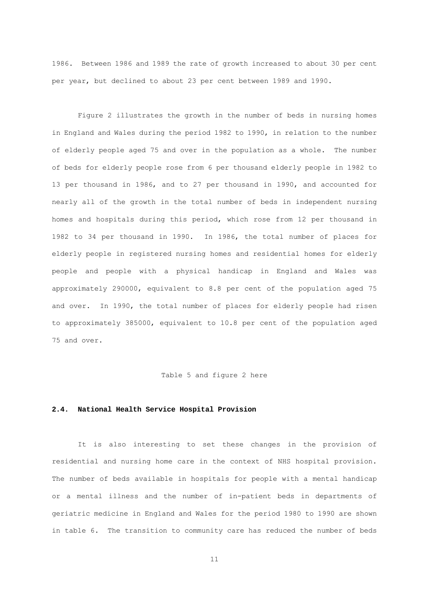1986. Between 1986 and 1989 the rate of growth increased to about 30 per cent per year, but declined to about 23 per cent between 1989 and 1990.

 Figure 2 illustrates the growth in the number of beds in nursing homes in England and Wales during the period 1982 to 1990, in relation to the number of elderly people aged 75 and over in the population as a whole. The number of beds for elderly people rose from 6 per thousand elderly people in 1982 to 13 per thousand in 1986, and to 27 per thousand in 1990, and accounted for nearly all of the growth in the total number of beds in independent nursing homes and hospitals during this period, which rose from 12 per thousand in 1982 to 34 per thousand in 1990. In 1986, the total number of places for elderly people in registered nursing homes and residential homes for elderly people and people with a physical handicap in England and Wales was approximately 290000, equivalent to 8.8 per cent of the population aged 75 and over. In 1990, the total number of places for elderly people had risen to approximately 385000, equivalent to 10.8 per cent of the population aged 75 and over.

#### Table 5 and figure 2 here

#### **2.4. National Health Service Hospital Provision**

 It is also interesting to set these changes in the provision of residential and nursing home care in the context of NHS hospital provision. The number of beds available in hospitals for people with a mental handicap or a mental illness and the number of in-patient beds in departments of geriatric medicine in England and Wales for the period 1980 to 1990 are shown in table 6. The transition to community care has reduced the number of beds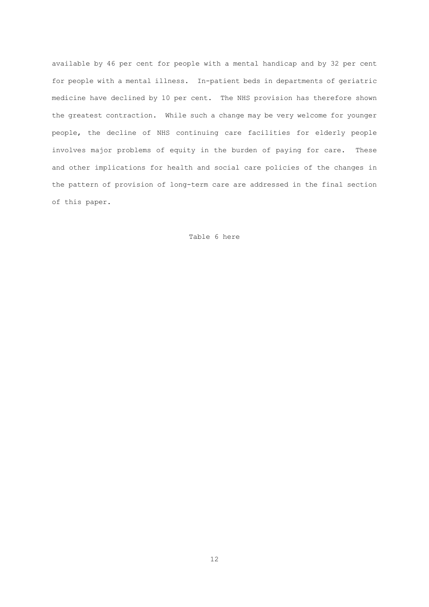available by 46 per cent for people with a mental handicap and by 32 per cent for people with a mental illness. In-patient beds in departments of geriatric medicine have declined by 10 per cent. The NHS provision has therefore shown the greatest contraction. While such a change may be very welcome for younger people, the decline of NHS continuing care facilities for elderly people involves major problems of equity in the burden of paying for care. These and other implications for health and social care policies of the changes in the pattern of provision of long-term care are addressed in the final section of this paper.

#### Table 6 here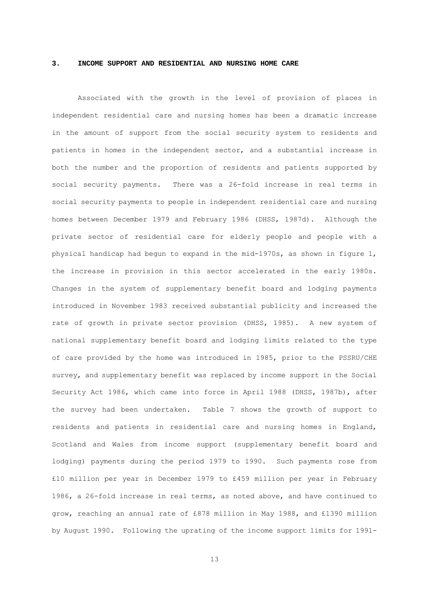#### **3. INCOME SUPPORT AND RESIDENTIAL AND NURSING HOME CARE**

 Associated with the growth in the level of provision of places in independent residential care and nursing homes has been a dramatic increase in the amount of support from the social security system to residents and patients in homes in the independent sector, and a substantial increase in both the number and the proportion of residents and patients supported by social security payments. There was a 26-fold increase in real terms in social security payments to people in independent residential care and nursing homes between December 1979 and February 1986 (DHSS, 1987d). Although the private sector of residential care for elderly people and people with a physical handicap had begun to expand in the mid-1970s, as shown in figure 1, the increase in provision in this sector accelerated in the early 1980s. Changes in the system of supplementary benefit board and lodging payments introduced in November 1983 received substantial publicity and increased the rate of growth in private sector provision (DHSS, 1985). A new system of national supplementary benefit board and lodging limits related to the type of care provided by the home was introduced in 1985, prior to the PSSRU/CHE survey, and supplementary benefit was replaced by income support in the Social Security Act 1986, which came into force in April 1988 (DHSS, 1987b), after the survey had been undertaken. Table 7 shows the growth of support to residents and patients in residential care and nursing homes in England, Scotland and Wales from income support (supplementary benefit board and lodging) payments during the period 1979 to 1990. Such payments rose from £10 million per year in December 1979 to £459 million per year in February 1986, a 26-fold increase in real terms, as noted above, and have continued to grow, reaching an annual rate of £878 million in May 1988, and £1390 million by August 1990. Following the uprating of the income support limits for 1991-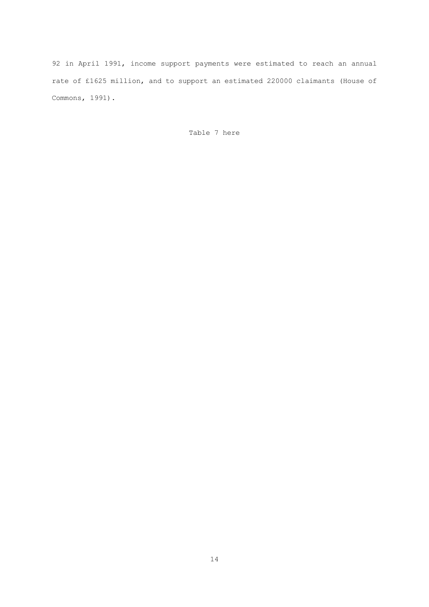92 in April 1991, income support payments were estimated to reach an annual rate of £1625 million, and to support an estimated 220000 claimants (House of Commons, 1991).

Table 7 here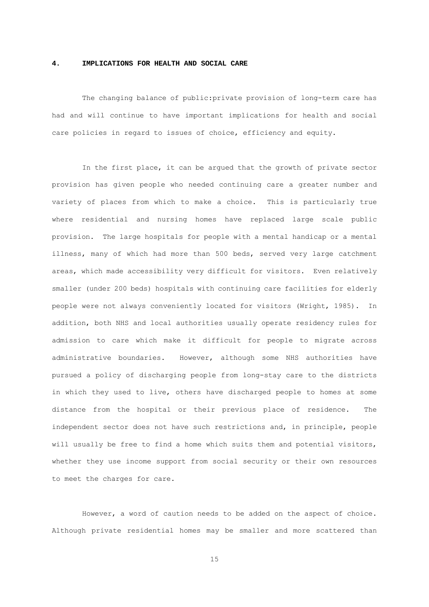#### **4. IMPLICATIONS FOR HEALTH AND SOCIAL CARE**

 The changing balance of public:private provision of long-term care has had and will continue to have important implications for health and social care policies in regard to issues of choice, efficiency and equity.

 In the first place, it can be argued that the growth of private sector provision has given people who needed continuing care a greater number and variety of places from which to make a choice. This is particularly true where residential and nursing homes have replaced large scale public provision. The large hospitals for people with a mental handicap or a mental illness, many of which had more than 500 beds, served very large catchment areas, which made accessibility very difficult for visitors. Even relatively smaller (under 200 beds) hospitals with continuing care facilities for elderly people were not always conveniently located for visitors (Wright, 1985). In addition, both NHS and local authorities usually operate residency rules for admission to care which make it difficult for people to migrate across administrative boundaries. However, although some NHS authorities have pursued a policy of discharging people from long-stay care to the districts in which they used to live, others have discharged people to homes at some distance from the hospital or their previous place of residence. The independent sector does not have such restrictions and, in principle, people will usually be free to find a home which suits them and potential visitors, whether they use income support from social security or their own resources to meet the charges for care.

 However, a word of caution needs to be added on the aspect of choice. Although private residential homes may be smaller and more scattered than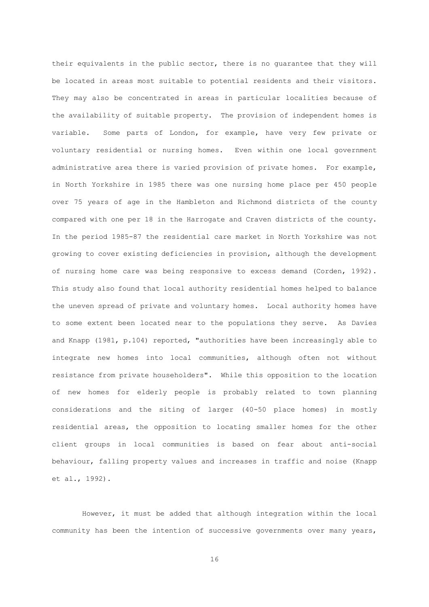their equivalents in the public sector, there is no guarantee that they will be located in areas most suitable to potential residents and their visitors. They may also be concentrated in areas in particular localities because of the availability of suitable property. The provision of independent homes is variable. Some parts of London, for example, have very few private or voluntary residential or nursing homes. Even within one local government administrative area there is varied provision of private homes. For example, in North Yorkshire in 1985 there was one nursing home place per 450 people over 75 years of age in the Hambleton and Richmond districts of the county compared with one per 18 in the Harrogate and Craven districts of the county. In the period 1985-87 the residential care market in North Yorkshire was not growing to cover existing deficiencies in provision, although the development of nursing home care was being responsive to excess demand (Corden, 1992). This study also found that local authority residential homes helped to balance the uneven spread of private and voluntary homes. Local authority homes have to some extent been located near to the populations they serve. As Davies and Knapp (1981, p.104) reported, "authorities have been increasingly able to integrate new homes into local communities, although often not without resistance from private householders". While this opposition to the location of new homes for elderly people is probably related to town planning considerations and the siting of larger (40-50 place homes) in mostly residential areas, the opposition to locating smaller homes for the other client groups in local communities is based on fear about anti-social behaviour, falling property values and increases in traffic and noise (Knapp et al., 1992).

 However, it must be added that although integration within the local community has been the intention of successive governments over many years,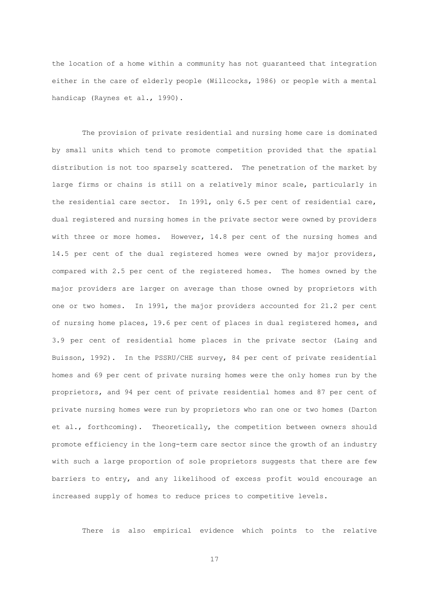the location of a home within a community has not guaranteed that integration either in the care of elderly people (Willcocks, 1986) or people with a mental handicap (Raynes et al., 1990).

 The provision of private residential and nursing home care is dominated by small units which tend to promote competition provided that the spatial distribution is not too sparsely scattered. The penetration of the market by large firms or chains is still on a relatively minor scale, particularly in the residential care sector. In 1991, only 6.5 per cent of residential care, dual registered and nursing homes in the private sector were owned by providers with three or more homes. However, 14.8 per cent of the nursing homes and 14.5 per cent of the dual registered homes were owned by major providers, compared with 2.5 per cent of the registered homes. The homes owned by the major providers are larger on average than those owned by proprietors with one or two homes. In 1991, the major providers accounted for 21.2 per cent of nursing home places, 19.6 per cent of places in dual registered homes, and 3.9 per cent of residential home places in the private sector (Laing and Buisson, 1992). In the PSSRU/CHE survey, 84 per cent of private residential homes and 69 per cent of private nursing homes were the only homes run by the proprietors, and 94 per cent of private residential homes and 87 per cent of private nursing homes were run by proprietors who ran one or two homes (Darton et al., forthcoming). Theoretically, the competition between owners should promote efficiency in the long-term care sector since the growth of an industry with such a large proportion of sole proprietors suggests that there are few barriers to entry, and any likelihood of excess profit would encourage an increased supply of homes to reduce prices to competitive levels.

There is also empirical evidence which points to the relative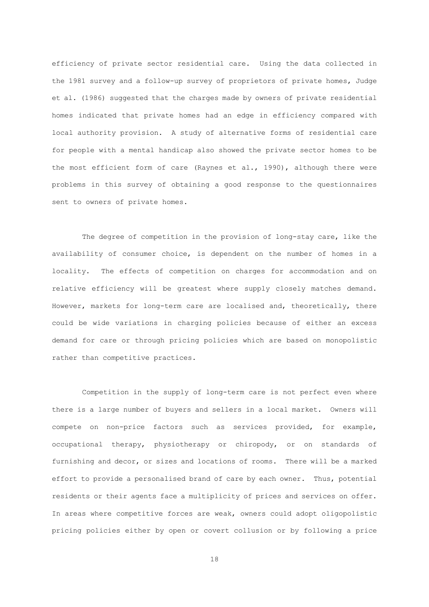efficiency of private sector residential care. Using the data collected in the 1981 survey and a follow-up survey of proprietors of private homes, Judge et al. (1986) suggested that the charges made by owners of private residential homes indicated that private homes had an edge in efficiency compared with local authority provision. A study of alternative forms of residential care for people with a mental handicap also showed the private sector homes to be the most efficient form of care (Raynes et al., 1990), although there were problems in this survey of obtaining a good response to the questionnaires sent to owners of private homes.

 The degree of competition in the provision of long-stay care, like the availability of consumer choice, is dependent on the number of homes in a locality. The effects of competition on charges for accommodation and on relative efficiency will be greatest where supply closely matches demand. However, markets for long-term care are localised and, theoretically, there could be wide variations in charging policies because of either an excess demand for care or through pricing policies which are based on monopolistic rather than competitive practices.

 Competition in the supply of long-term care is not perfect even where there is a large number of buyers and sellers in a local market. Owners will compete on non-price factors such as services provided, for example, occupational therapy, physiotherapy or chiropody, or on standards of furnishing and decor, or sizes and locations of rooms. There will be a marked effort to provide a personalised brand of care by each owner. Thus, potential residents or their agents face a multiplicity of prices and services on offer. In areas where competitive forces are weak, owners could adopt oligopolistic pricing policies either by open or covert collusion or by following a price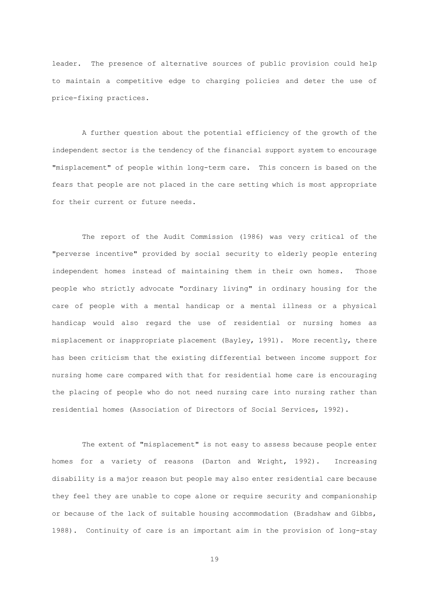leader. The presence of alternative sources of public provision could help to maintain a competitive edge to charging policies and deter the use of price-fixing practices.

 A further question about the potential efficiency of the growth of the independent sector is the tendency of the financial support system to encourage "misplacement" of people within long-term care. This concern is based on the fears that people are not placed in the care setting which is most appropriate for their current or future needs.

 The report of the Audit Commission (1986) was very critical of the "perverse incentive" provided by social security to elderly people entering independent homes instead of maintaining them in their own homes. Those people who strictly advocate "ordinary living" in ordinary housing for the care of people with a mental handicap or a mental illness or a physical handicap would also regard the use of residential or nursing homes as misplacement or inappropriate placement (Bayley, 1991). More recently, there has been criticism that the existing differential between income support for nursing home care compared with that for residential home care is encouraging the placing of people who do not need nursing care into nursing rather than residential homes (Association of Directors of Social Services, 1992).

 The extent of "misplacement" is not easy to assess because people enter homes for a variety of reasons (Darton and Wright, 1992). Increasing disability is a major reason but people may also enter residential care because they feel they are unable to cope alone or require security and companionship or because of the lack of suitable housing accommodation (Bradshaw and Gibbs, 1988). Continuity of care is an important aim in the provision of long-stay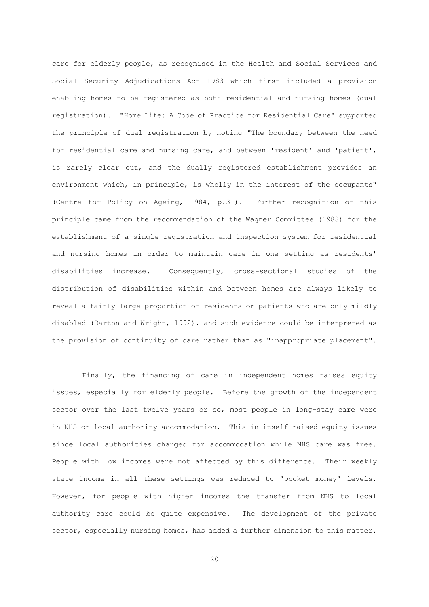care for elderly people, as recognised in the Health and Social Services and Social Security Adjudications Act 1983 which first included a provision enabling homes to be registered as both residential and nursing homes (dual registration). "Home Life: A Code of Practice for Residential Care" supported the principle of dual registration by noting "The boundary between the need for residential care and nursing care, and between 'resident' and 'patient', is rarely clear cut, and the dually registered establishment provides an environment which, in principle, is wholly in the interest of the occupants" (Centre for Policy on Ageing, 1984, p.31). Further recognition of this principle came from the recommendation of the Wagner Committee (1988) for the establishment of a single registration and inspection system for residential and nursing homes in order to maintain care in one setting as residents' disabilities increase. Consequently, cross-sectional studies of the distribution of disabilities within and between homes are always likely to reveal a fairly large proportion of residents or patients who are only mildly disabled (Darton and Wright, 1992), and such evidence could be interpreted as the provision of continuity of care rather than as "inappropriate placement".

 Finally, the financing of care in independent homes raises equity issues, especially for elderly people. Before the growth of the independent sector over the last twelve years or so, most people in long-stay care were in NHS or local authority accommodation. This in itself raised equity issues since local authorities charged for accommodation while NHS care was free. People with low incomes were not affected by this difference. Their weekly state income in all these settings was reduced to "pocket money" levels. However, for people with higher incomes the transfer from NHS to local authority care could be quite expensive. The development of the private sector, especially nursing homes, has added a further dimension to this matter.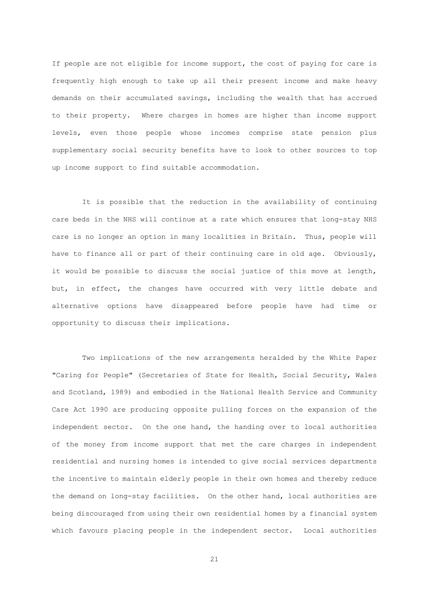If people are not eligible for income support, the cost of paying for care is frequently high enough to take up all their present income and make heavy demands on their accumulated savings, including the wealth that has accrued to their property. Where charges in homes are higher than income support levels, even those people whose incomes comprise state pension plus supplementary social security benefits have to look to other sources to top up income support to find suitable accommodation.

 It is possible that the reduction in the availability of continuing care beds in the NHS will continue at a rate which ensures that long-stay NHS care is no longer an option in many localities in Britain. Thus, people will have to finance all or part of their continuing care in old age. Obviously, it would be possible to discuss the social justice of this move at length, but, in effect, the changes have occurred with very little debate and alternative options have disappeared before people have had time or opportunity to discuss their implications.

 Two implications of the new arrangements heralded by the White Paper "Caring for People" (Secretaries of State for Health, Social Security, Wales and Scotland, 1989) and embodied in the National Health Service and Community Care Act 1990 are producing opposite pulling forces on the expansion of the independent sector. On the one hand, the handing over to local authorities of the money from income support that met the care charges in independent residential and nursing homes is intended to give social services departments the incentive to maintain elderly people in their own homes and thereby reduce the demand on long-stay facilities. On the other hand, local authorities are being discouraged from using their own residential homes by a financial system which favours placing people in the independent sector. Local authorities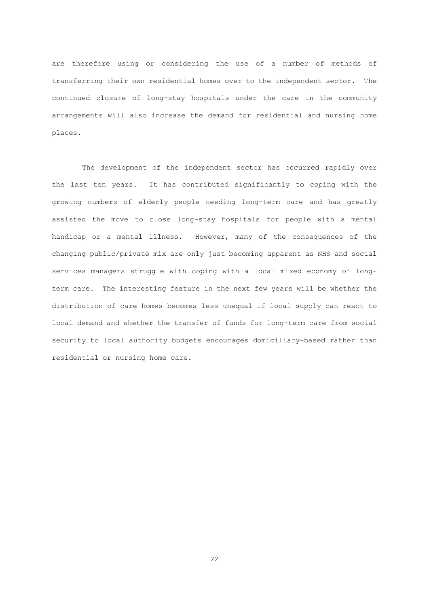are therefore using or considering the use of a number of methods of transferring their own residential homes over to the independent sector. The continued closure of long-stay hospitals under the care in the community arrangements will also increase the demand for residential and nursing home places.

 The development of the independent sector has occurred rapidly over the last ten years. It has contributed significantly to coping with the growing numbers of elderly people needing long-term care and has greatly assisted the move to close long-stay hospitals for people with a mental handicap or a mental illness. However, many of the consequences of the changing public/private mix are only just becoming apparent as NHS and social services managers struggle with coping with a local mixed economy of longterm care. The interesting feature in the next few years will be whether the distribution of care homes becomes less unequal if local supply can react to local demand and whether the transfer of funds for long-term care from social security to local authority budgets encourages domiciliary-based rather than residential or nursing home care.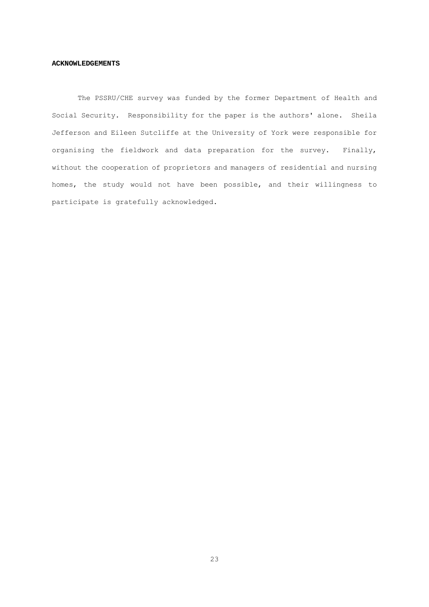#### **ACKNOWLEDGEMENTS**

 The PSSRU/CHE survey was funded by the former Department of Health and Social Security. Responsibility for the paper is the authors' alone. Sheila Jefferson and Eileen Sutcliffe at the University of York were responsible for organising the fieldwork and data preparation for the survey. Finally, without the cooperation of proprietors and managers of residential and nursing homes, the study would not have been possible, and their willingness to participate is gratefully acknowledged.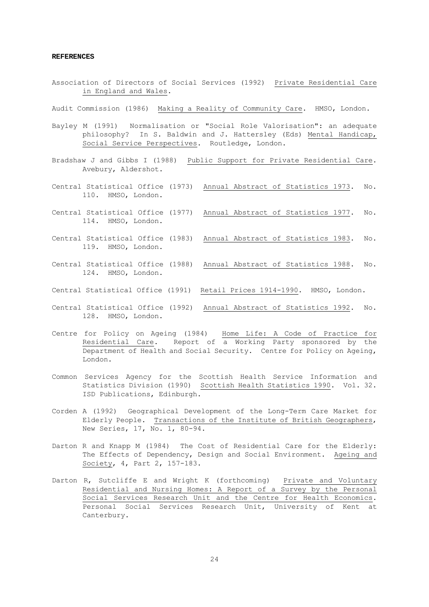#### **REFERENCES**

- Association of Directors of Social Services (1992) Private Residential Care in England and Wales.
- Audit Commission (1986) Making a Reality of Community Care. HMSO, London.
- Bayley M (1991) Normalisation or "Social Role Valorisation": an adequate philosophy? In S. Baldwin and J. Hattersley (Eds) Mental Handicap, Social Service Perspectives. Routledge, London.
- Bradshaw J and Gibbs I (1988) Public Support for Private Residential Care. Avebury, Aldershot.
- Central Statistical Office (1973) Annual Abstract of Statistics 1973. No. 110. HMSO, London.
- Central Statistical Office (1977) Annual Abstract of Statistics 1977. No. 114. HMSO, London.
- Central Statistical Office (1983) Annual Abstract of Statistics 1983. No. 119. HMSO, London.
- Central Statistical Office (1988) Annual Abstract of Statistics 1988. No. 124. HMSO, London.
- Central Statistical Office (1991) Retail Prices 1914-1990. HMSO, London.
- Central Statistical Office (1992) Annual Abstract of Statistics 1992. No. 128. HMSO, London.
- Centre for Policy on Ageing (1984) Home Life: A Code of Practice for Residential Care. Report of a Working Party sponsored by the Department of Health and Social Security. Centre for Policy on Ageing, London.
- Common Services Agency for the Scottish Health Service Information and Statistics Division (1990) Scottish Health Statistics 1990. Vol. 32. ISD Publications, Edinburgh.
- Corden A (1992) Geographical Development of the Long-Term Care Market for Elderly People. Transactions of the Institute of British Geographers, New Series, 17, No. 1, 80-94.
- Darton R and Knapp M (1984) The Cost of Residential Care for the Elderly: The Effects of Dependency, Design and Social Environment. Ageing and Society, 4, Part 2, 157-183.
- Darton R, Sutcliffe E and Wright K (forthcoming) Private and Voluntary Residential and Nursing Homes: A Report of a Survey by the Personal Social Services Research Unit and the Centre for Health Economics. Personal Social Services Research Unit, University of Kent at Canterbury.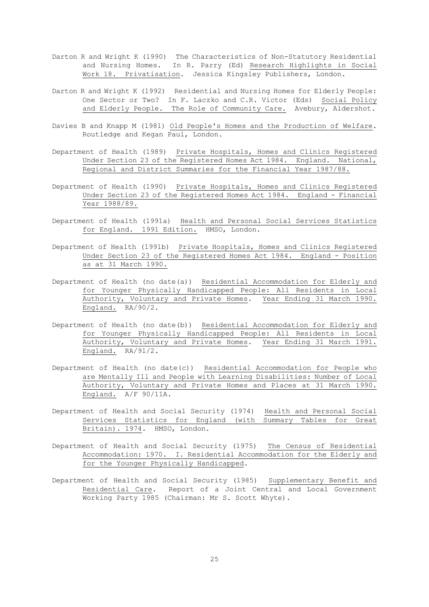- Darton R and Wright K (1990) The Characteristics of Non-Statutory Residential and Nursing Homes. In R. Parry (Ed) Research Highlights in Social Work 18. Privatisation. Jessica Kingsley Publishers, London.
- Darton R and Wright K (1992) Residential and Nursing Homes for Elderly People: One Sector or Two? In F. Laczko and C.R. Victor (Eds) Social Policy and Elderly People. The Role of Community Care. Avebury, Aldershot.
- Davies B and Knapp M (1981) Old People's Homes and the Production of Welfare. Routledge and Kegan Paul, London.
- Department of Health (1989) Private Hospitals, Homes and Clinics Registered Under Section 23 of the Registered Homes Act 1984. England. National, Regional and District Summaries for the Financial Year 1987/88.
- Department of Health (1990) Private Hospitals, Homes and Clinics Registered Under Section 23 of the Registered Homes Act 1984. England - Financial Year 1988/89.
- Department of Health (1991a) Health and Personal Social Services Statistics for England. 1991 Edition. HMSO, London.
- Department of Health (1991b) Private Hospitals, Homes and Clinics Registered Under Section 23 of the Registered Homes Act 1984. England - Position as at 31 March 1990.
- Department of Health (no date(a)) Residential Accommodation for Elderly and for Younger Physically Handicapped People: All Residents in Local Authority, Voluntary and Private Homes. Year Ending 31 March 1990. England. RA/90/2.
- Department of Health (no date(b)) Residential Accommodation for Elderly and for Younger Physically Handicapped People: All Residents in Local Authority, Voluntary and Private Homes. Year Ending 31 March 1991. England. RA/91/2.
- Department of Health (no date(c)) Residential Accommodation for People who are Mentally Ill and People with Learning Disabilities: Number of Local Authority, Voluntary and Private Homes and Places at 31 March 1990. England. A/F 90/11A.
- Department of Health and Social Security (1974) Health and Personal Social Services Statistics for England (with Summary Tables for Great Britain). 1974. HMSO, London.
- Department of Health and Social Security (1975) The Census of Residential Accommodation: 1970. I. Residential Accommodation for the Elderly and for the Younger Physically Handicapped.
- Department of Health and Social Security (1985) Supplementary Benefit and Residential Care. Report of a Joint Central and Local Government Working Party 1985 (Chairman: Mr S. Scott Whyte).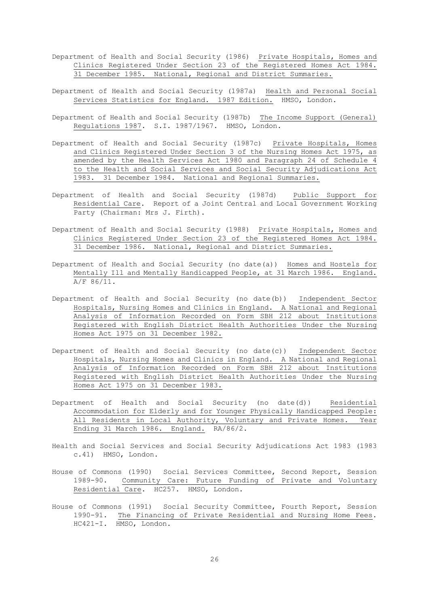- Department of Health and Social Security (1986) Private Hospitals, Homes and Clinics Registered Under Section 23 of the Registered Homes Act 1984. 31 December 1985. National, Regional and District Summaries.
- Department of Health and Social Security (1987a) Health and Personal Social Services Statistics for England. 1987 Edition. HMSO, London.
- Department of Health and Social Security (1987b) The Income Support (General) Regulations 1987. S.I. 1987/1967. HMSO, London.
- Department of Health and Social Security (1987c) Private Hospitals, Homes and Clinics Registered Under Section 3 of the Nursing Homes Act 1975, as amended by the Health Services Act 1980 and Paragraph 24 of Schedule 4 to the Health and Social Services and Social Security Adjudications Act 1983. 31 December 1984. National and Regional Summaries.
- Department of Health and Social Security (1987d) Public Support for Residential Care. Report of a Joint Central and Local Government Working Party (Chairman: Mrs J. Firth).
- Department of Health and Social Security (1988) Private Hospitals, Homes and Clinics Registered Under Section 23 of the Registered Homes Act 1984. 31 December 1986. National, Regional and District Summaries.
- Department of Health and Social Security (no date(a)) Homes and Hostels for Mentally Ill and Mentally Handicapped People, at 31 March 1986. England. A/F 86/11.
- Department of Health and Social Security (no date(b)) Independent Sector Hospitals, Nursing Homes and Clinics in England. A National and Regional Analysis of Information Recorded on Form SBH 212 about Institutions Registered with English District Health Authorities Under the Nursing Homes Act 1975 on 31 December 1982.
- Department of Health and Social Security (no date(c)) Independent Sector Hospitals, Nursing Homes and Clinics in England. A National and Regional Analysis of Information Recorded on Form SBH 212 about Institutions Registered with English District Health Authorities Under the Nursing Homes Act 1975 on 31 December 1983.
- Department of Health and Social Security (no date(d)) Residential Accommodation for Elderly and for Younger Physically Handicapped People: All Residents in Local Authority, Voluntary and Private Homes. Year Ending 31 March 1986. England. RA/86/2.
- Health and Social Services and Social Security Adjudications Act 1983 (1983 c.41) HMSO, London.
- House of Commons (1990) Social Services Committee, Second Report, Session 1989-90. Community Care: Future Funding of Private and Voluntary Residential Care. HC257. HMSO, London.
- House of Commons (1991) Social Security Committee, Fourth Report, Session 1990-91. The Financing of Private Residential and Nursing Home Fees. HC421-I. HMSO, London.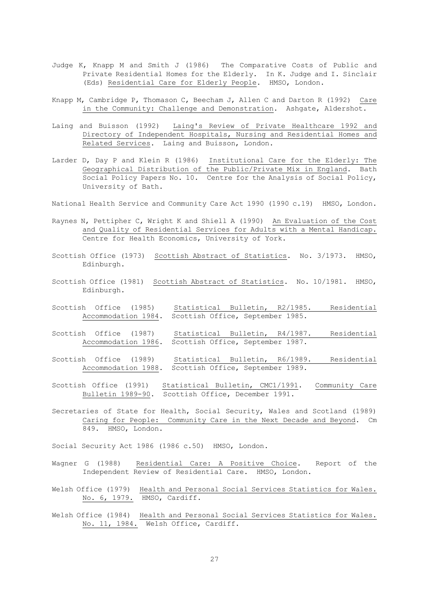- Judge K, Knapp M and Smith J (1986) The Comparative Costs of Public and Private Residential Homes for the Elderly. In K. Judge and I. Sinclair (Eds) Residential Care for Elderly People. HMSO, London.
- Knapp M, Cambridge P, Thomason C, Beecham J, Allen C and Darton R (1992) Care in the Community: Challenge and Demonstration. Ashgate, Aldershot.
- Laing and Buisson (1992) Laing's Review of Private Healthcare 1992 and Directory of Independent Hospitals, Nursing and Residential Homes and Related Services. Laing and Buisson, London.
- Larder D, Day P and Klein R (1986) Institutional Care for the Elderly: The Geographical Distribution of the Public/Private Mix in England. Bath Social Policy Papers No. 10. Centre for the Analysis of Social Policy, University of Bath.
- National Health Service and Community Care Act 1990 (1990 c.19) HMSO, London.
- Raynes N, Pettipher C, Wright K and Shiell A (1990) An Evaluation of the Cost and Quality of Residential Services for Adults with a Mental Handicap. Centre for Health Economics, University of York.
- Scottish Office (1973) Scottish Abstract of Statistics. No. 3/1973. HMSO, Edinburgh.
- Scottish Office (1981) Scottish Abstract of Statistics. No. 10/1981. HMSO, Edinburgh.
- Scottish Office (1985) Statistical Bulletin, R2/1985. Residential Accommodation 1984. Scottish Office, September 1985.
- Scottish Office (1987) Statistical Bulletin, R4/1987. Residential Accommodation 1986. Scottish Office, September 1987.
- Scottish Office (1989) Statistical Bulletin, R6/1989. Residential Accommodation 1988. Scottish Office, September 1989.
- Scottish Office (1991) Statistical Bulletin, CMC1/1991. Community Care Bulletin 1989-90. Scottish Office, December 1991.
- Secretaries of State for Health, Social Security, Wales and Scotland (1989) Caring for People: Community Care in the Next Decade and Beyond. Cm 849. HMSO, London.
- Social Security Act 1986 (1986 c.50) HMSO, London.
- Wagner G (1988) Residential Care: A Positive Choice. Report of the Independent Review of Residential Care. HMSO, London.
- Welsh Office (1979) Health and Personal Social Services Statistics for Wales. No. 6, 1979. HMSO, Cardiff.
- Welsh Office (1984) Health and Personal Social Services Statistics for Wales. No. 11, 1984. Welsh Office, Cardiff.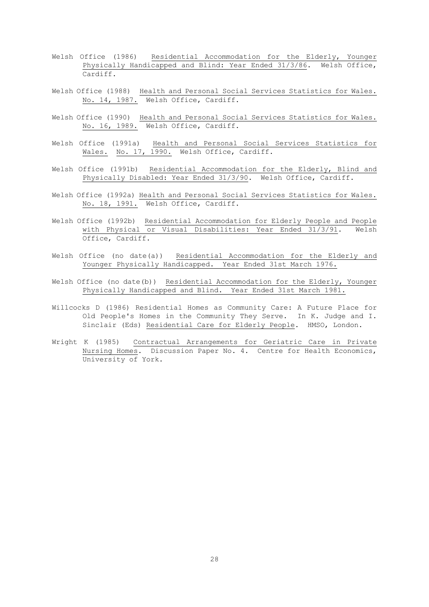- Welsh Office (1986) Residential Accommodation for the Elderly, Younger Physically Handicapped and Blind: Year Ended 31/3/86. Welsh Office, Cardiff.
- Welsh Office (1988) Health and Personal Social Services Statistics for Wales. No. 14, 1987. Welsh Office, Cardiff.
- Welsh Office (1990) Health and Personal Social Services Statistics for Wales. No. 16, 1989. Welsh Office, Cardiff.
- Welsh Office (1991a) Health and Personal Social Services Statistics for Wales. No. 17, 1990. Welsh Office, Cardiff.
- Welsh Office (1991b) Residential Accommodation for the Elderly, Blind and Physically Disabled: Year Ended 31/3/90. Welsh Office, Cardiff.
- Welsh Office (1992a) Health and Personal Social Services Statistics for Wales. No. 18, 1991. Welsh Office, Cardiff.
- Welsh Office (1992b) Residential Accommodation for Elderly People and People with Physical or Visual Disabilities: Year Ended 31/3/91. Welsh Office, Cardiff.
- Welsh Office (no date(a)) Residential Accommodation for the Elderly and Younger Physically Handicapped. Year Ended 31st March 1976.
- Welsh Office (no date(b)) Residential Accommodation for the Elderly, Younger Physically Handicapped and Blind. Year Ended 31st March 1981.
- Willcocks D (1986) Residential Homes as Community Care: A Future Place for Old People's Homes in the Community They Serve. In K. Judge and I. Sinclair (Eds) Residential Care for Elderly People. HMSO, London.
- Wright K (1985) Contractual Arrangements for Geriatric Care in Private Nursing Homes. Discussion Paper No. 4. Centre for Health Economics, University of York.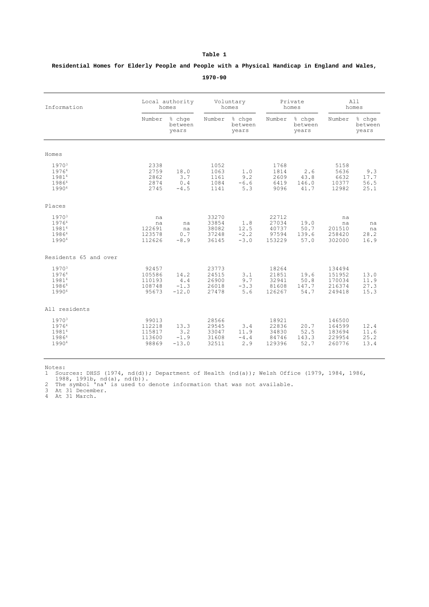| Information                                           |                                              | Local authority<br>homes         | Voluntary<br>homes                        |                                 | Private<br>homes                           |                               | All<br>homes                                   |                              |
|-------------------------------------------------------|----------------------------------------------|----------------------------------|-------------------------------------------|---------------------------------|--------------------------------------------|-------------------------------|------------------------------------------------|------------------------------|
|                                                       | Number                                       | % chge<br>between<br>years       | Number                                    | % chqe<br>between<br>years      | Number                                     | % chge<br>between<br>years    | Number                                         | % chqe<br>between<br>years   |
| Homes                                                 |                                              |                                  |                                           |                                 |                                            |                               |                                                |                              |
| 1970 <sup>3</sup><br>19764<br>19814<br>19864<br>19904 | 2338<br>2759<br>2862<br>2874<br>2745         | 18.0<br>3.7<br>0.4<br>$-4.5$     | 1052<br>1063<br>1161<br>1084<br>1141      | 1.0<br>9.2<br>$-6.6$<br>5.3     | 1768<br>1814<br>2609<br>6419<br>9096       | 2.6<br>43.8<br>146.0<br>41.7  | 5158<br>5636<br>6632<br>10377<br>12982         | 9.3<br>17.7<br>56.5<br>25.1  |
| Places                                                |                                              |                                  |                                           |                                 |                                            |                               |                                                |                              |
| 1970 <sup>3</sup><br>19764<br>19814<br>19864<br>19904 | na<br>na<br>122691<br>123578<br>112626       | na<br>na<br>0.7<br>$-8.9$        | 33270<br>33854<br>38082<br>37248<br>36145 | 1.8<br>12.5<br>$-2.2$<br>$-3.0$ | 22712<br>27034<br>40737<br>97594<br>153229 | 19.0<br>50.7<br>139.6<br>57.0 | na<br>na<br>201510<br>258420<br>302000         | na<br>na<br>28.2<br>16.9     |
| Residents 65 and over                                 |                                              |                                  |                                           |                                 |                                            |                               |                                                |                              |
| 1970 <sup>3</sup><br>19764<br>19814<br>19864<br>19904 | 92457<br>105586<br>110193<br>108748<br>95673 | 14.2<br>4.4<br>$-1.3$<br>$-12.0$ | 23773<br>24515<br>26900<br>26018<br>27478 | 3.1<br>9.7<br>$-3.3$<br>5.6     | 18264<br>21851<br>32941<br>81608<br>126267 | 19.6<br>50.8<br>147.7<br>54.7 | 134494<br>151952<br>170034<br>216374<br>249418 | 13.0<br>11.9<br>27.3<br>15.3 |
| All residents                                         |                                              |                                  |                                           |                                 |                                            |                               |                                                |                              |
| 1970 <sup>3</sup><br>19764<br>19814<br>19864<br>19904 | 99013<br>112218<br>115817<br>113600<br>98869 | 13.3<br>3.2<br>$-1.9$<br>$-13.0$ | 28566<br>29545<br>33047<br>31608<br>32511 | 3.4<br>11.9<br>$-4.4$<br>2.9    | 18921<br>22836<br>34830<br>84746<br>129396 | 20.7<br>52.5<br>143.3<br>52.7 | 146500<br>164599<br>183694<br>229954<br>260776 | 12.4<br>11.6<br>25.2<br>13.4 |

 **Residential Homes for Elderly People and People with a Physical Handicap in England and Wales, 1970-90**

Notes:<br>1 Sources: DHSS (1974, nd(d)); Department of Health (nd(a)); Welsh Office (1979, 1984, 1986,<br>1988, 1991b, nd(a), nd(b)).<br>2 The symbol 'na' is used to denote information that was not available.<br>3 At 31 December.<br>4 At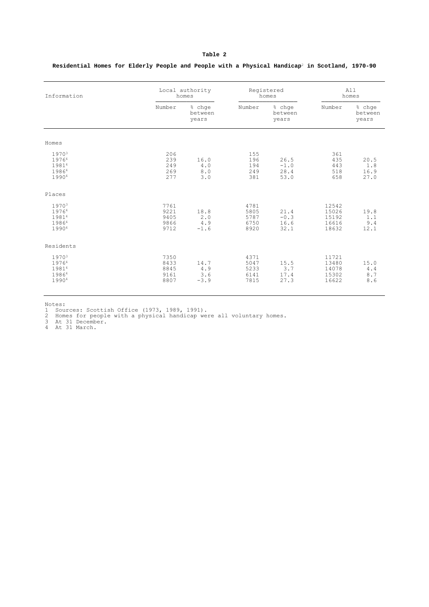**Residential Homes for Elderly People and People with a Physical Handicap**<sup>2</sup> **in Scotland, 1970-90**

| Information                                                       | Local authority<br>homes             |                              | Registered<br>homes                  |                                | All<br>homes                              |                             |
|-------------------------------------------------------------------|--------------------------------------|------------------------------|--------------------------------------|--------------------------------|-------------------------------------------|-----------------------------|
|                                                                   | Number                               | % chge<br>between<br>years   | Number                               | % chge<br>between<br>years     | Number                                    | % chge<br>between<br>vears  |
| Homes                                                             |                                      |                              |                                      |                                |                                           |                             |
| 19703<br>19764<br>19814<br>19864<br>19904                         | 206<br>239<br>249<br>269<br>277      | 16.0<br>4.0<br>8.0<br>3.0    | 155<br>196<br>194<br>249<br>381      | 26.5<br>$-1.0$<br>28.4<br>53.0 | 361<br>435<br>443<br>518<br>658           | 20.5<br>1.8<br>16.9<br>27.0 |
| Places                                                            |                                      |                              |                                      |                                |                                           |                             |
| 19703<br>19764<br>19814<br>19864<br>19904                         | 7761<br>9221<br>9405<br>9866<br>9712 | 18.8<br>2.0<br>4.9<br>$-1.6$ | 4781<br>5805<br>5787<br>6750<br>8920 | 21.4<br>$-0.3$<br>16.6<br>32.1 | 12542<br>15026<br>15192<br>16616<br>18632 | 19.8<br>1.1<br>9.4<br>12.1  |
| Residents                                                         |                                      |                              |                                      |                                |                                           |                             |
| 1970 <sup>3</sup><br>19764<br>19814<br>19864<br>1990 <sup>4</sup> | 7350<br>8433<br>8845<br>9161<br>8807 | 14.7<br>4.9<br>3.6<br>$-3.9$ | 4371<br>5047<br>5233<br>6141<br>7815 | 15.5<br>3.7<br>17.4<br>27.3    | 11721<br>13480<br>14078<br>15302<br>16622 | 15.0<br>4.4<br>8.7<br>8.6   |

Notes:

1 Sources: Scottish Office (1973, 1989, 1991). 2 Homes for people with a physical handicap were all voluntary homes. 3 At 31 December. 4 At 31 March.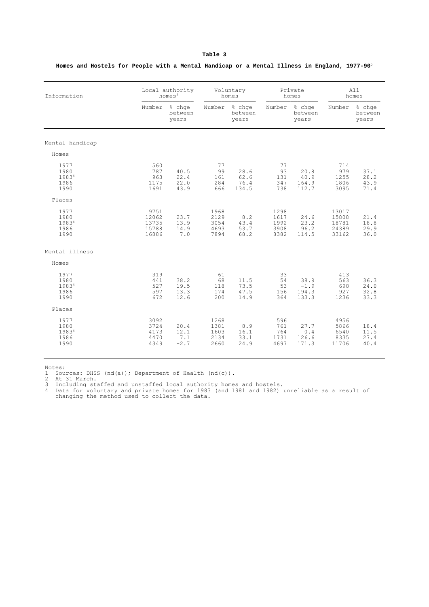| Information                           | Local authority<br>homes $3$             |                               | Voluntary<br>homes                   |                               | Private<br>homes                     |                                  | All<br>homes                              |                              |
|---------------------------------------|------------------------------------------|-------------------------------|--------------------------------------|-------------------------------|--------------------------------------|----------------------------------|-------------------------------------------|------------------------------|
|                                       | Number                                   | % chqe<br>between<br>years    | Number                               | % chqe<br>between<br>years    | Number                               | % chge<br>between<br>years       | Number                                    | % chge<br>between<br>years   |
| Mental handicap                       |                                          |                               |                                      |                               |                                      |                                  |                                           |                              |
| Homes                                 |                                          |                               |                                      |                               |                                      |                                  |                                           |                              |
| 1977<br>1980<br>19834<br>1986<br>1990 | 560<br>787<br>963<br>1175<br>1691        | 40.5<br>22.4<br>22.0<br>43.9  | 77<br>99<br>161<br>284<br>666        | 28.6<br>62.6<br>76.4<br>134.5 | 77<br>93<br>131<br>347<br>738        | 20.8<br>40.9<br>164.9<br>112.7   | 714<br>979<br>1255<br>1806<br>3095        | 37.1<br>28.2<br>43.9<br>71.4 |
| Places                                |                                          |                               |                                      |                               |                                      |                                  |                                           |                              |
| 1977<br>1980<br>19834<br>1986<br>1990 | 9751<br>12062<br>13735<br>15788<br>16886 | 23.7<br>13.9<br>14.9<br>7.0   | 1968<br>2129<br>3054<br>4693<br>7894 | 8.2<br>43.4<br>53.7<br>68.2   | 1298<br>1617<br>1992<br>3908<br>8382 | 24.6<br>23.2<br>96.2<br>114.5    | 13017<br>15808<br>18781<br>24389<br>33162 | 21.4<br>18.8<br>29.9<br>36.0 |
| Mental illness                        |                                          |                               |                                      |                               |                                      |                                  |                                           |                              |
| Homes                                 |                                          |                               |                                      |                               |                                      |                                  |                                           |                              |
| 1977<br>1980<br>19834<br>1986<br>1990 | 319<br>441<br>527<br>597<br>672          | 38.2<br>19.5<br>13.3<br>12.6  | 61<br>68<br>118<br>174<br>200        | 11.5<br>73.5<br>47.5<br>14.9  | 33<br>54<br>53<br>156<br>364         | 38.9<br>$-1.9$<br>194.3<br>133.3 | 413<br>563<br>698<br>927<br>1236          | 36.3<br>24.0<br>32.8<br>33.3 |
| Places                                |                                          |                               |                                      |                               |                                      |                                  |                                           |                              |
| 1977<br>1980<br>19834<br>1986<br>1990 | 3092<br>3724<br>4173<br>4470<br>4349     | 20.4<br>12.1<br>7.1<br>$-2.7$ | 1268<br>1381<br>1603<br>2134<br>2660 | 8.9<br>16.1<br>33.1<br>24.9   | 596<br>761<br>764<br>1731<br>4697    | 27.7<br>0.4<br>126.6<br>171.3    | 4956<br>5866<br>6540<br>8335<br>11706     | 18.4<br>11.5<br>27.4<br>40.4 |

 **Homes and Hostels for People with a Mental Handicap or a Mental Illness in England, 1977-90**<sup>2</sup>

Notes:

% 1 Sources: DHSS (nd(a)); Department of Health (nd(c)).<br>2 At 31 March.<br>3 Including staffed and unstaffed local authority homes and hostels.<br>4 Data for voluntary and private homes for 1983 (and 1981 and 1982) unreliable as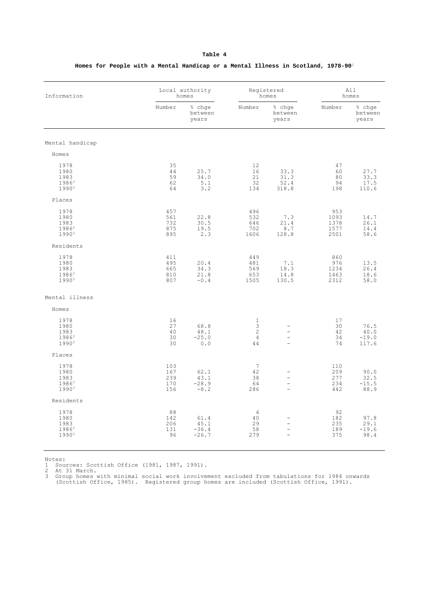| Information       |        | Local authority<br>homes   |                | Registered<br>homes        |        | All<br>homes               |  |
|-------------------|--------|----------------------------|----------------|----------------------------|--------|----------------------------|--|
|                   | Number | % chqe<br>between<br>years | Number         | % chqe<br>between<br>years | Number | % chqe<br>between<br>years |  |
| Mental handicap   |        |                            |                |                            |        |                            |  |
| Homes             |        |                            |                |                            |        |                            |  |
| 1978              | 35     |                            | 12             |                            | 47     |                            |  |
| 1980              | 44     | 25.7                       | 16             | 33.3                       | 60     | 27.7                       |  |
| 1983              | 59     | 34.0                       | 21             | 31.3                       | 80     | 33.3                       |  |
| $1986^3$          | 62     | 5.1                        | 32             | 52.4                       | 94     | 17.5                       |  |
| 1990 <sup>3</sup> | 64     | 3.2                        | 134            | 318.8                      | 198    | 110.6                      |  |
| Places            |        |                            |                |                            |        |                            |  |
|                   |        |                            |                |                            |        |                            |  |
| 1978              | 457    |                            | 496            |                            | 953    |                            |  |
| 1980              | 561    | 22.8                       | 532            | 7.3                        | 1093   | 14.7                       |  |
| 1983              | 732    | 30.5                       | 646            | 21.4                       | 1378   | 26.1                       |  |
| $1986^3$          | 875    | 19.5                       | 702            | 8.7                        | 1577   | 14.4                       |  |
| 19903             | 895    | 2.3                        | 1606           | 128.8                      | 2501   | 58.6                       |  |
| Residents         |        |                            |                |                            |        |                            |  |
| 1978              | 411    |                            | 449            |                            | 860    |                            |  |
| 1980              | 495    | 20.4                       | 481            | 7.1                        | 976    | 13.5                       |  |
| 1983              | 665    | 34.3                       | 569            | 18.3                       | 1234   | 26.4                       |  |
| $1986^3$          | 810    | 21.8                       | 653            | 14.8                       | 1463   | 18.6                       |  |
| 1990 <sup>3</sup> | 807    | $-0.4$                     | 1505           | 130.5                      | 2312   | 58.0                       |  |
| Mental illness    |        |                            |                |                            |        |                            |  |
| Homes             |        |                            |                |                            |        |                            |  |
| 1978              | 16     |                            | $\mathbf{1}$   |                            | 17     |                            |  |
| 1980              | 27     | 68.8                       | $\mathbf{3}$   | $\overline{\phantom{a}}$   | 30     | 76.5                       |  |
| 1983              | 40     | 48.1                       | $\overline{c}$ | $\overline{\phantom{0}}$   | 42     | 40.0                       |  |
| $1986^3$          | 30     | $-25.0$                    | $\overline{4}$ | $\overline{\phantom{a}}$   | 34     | $-19.0$                    |  |
| 19903             | 30     | 0.0                        | 44             | $\equiv$                   | 74     | 117.6                      |  |
| Places            |        |                            |                |                            |        |                            |  |
| 1978              | 103    |                            | 7              |                            | 110    |                            |  |
| 1980              | 167    | 62.1                       | 42             | $\overline{\phantom{m}}$   | 209    | 90.0                       |  |
| 1983              | 239    | 43.1                       | 38             | $\bar{ }$                  | 277    | 32.5                       |  |
| 1986 <sup>3</sup> | 170    | $-28.9$                    | 64             | $\bar{ }$                  | 234    | $-15.5$                    |  |
| 1990 <sup>3</sup> | 156    | $-8.2$                     | 286            | $\overline{\phantom{a}}$   | 442    | 88.9                       |  |
| Residents         |        |                            |                |                            |        |                            |  |
| 1978              | 88     |                            | 4              |                            | 92     |                            |  |
| 1980              | 142    | 61.4                       | 40             | $\overline{\phantom{m}}$   | 182    | 97.8                       |  |
| 1983              | 206    | 45.1                       | 29             | $\overline{a}$             | 235    | 29.1                       |  |
| 19863             | 131    | $-36.4$                    | 58             | $\overline{\phantom{a}}$   | 189    | $-19.6$                    |  |
| 19903             | 96     | $-26.7$                    | 279            | $\equiv$                   | 375    | 98.4                       |  |

#### **Homes for People with a Mental Handicap or a Mental Illness in Scotland, 1978-90**<sup>2</sup>

Notes:

Sources: Scottish Office (1981, 1987, 1991).<br>2 At 31 March.<br>3 Group homes with minimal social work involvement excluded from tabulations for 1984 onwards<br>(Scottish Office, 1985). Registered group homes are included (Scotti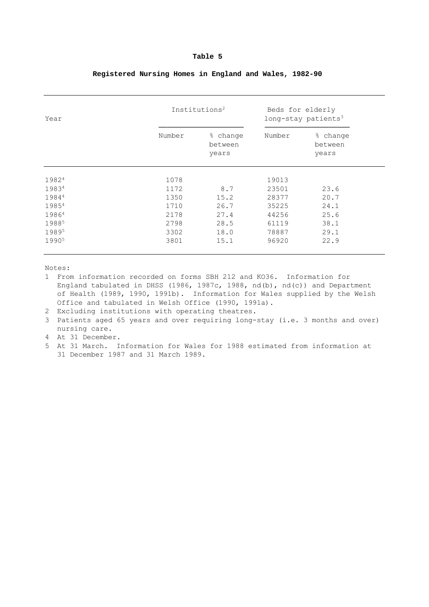| Year              |        | Institutions <sup>2</sup>    | Beds for elderly<br>long-stay patients $3$ |                              |  |
|-------------------|--------|------------------------------|--------------------------------------------|------------------------------|--|
|                   | Number | % change<br>between<br>years | Number                                     | % change<br>between<br>years |  |
| 19824             | 1078   |                              | 19013                                      |                              |  |
| 19834             | 1172   | 8.7                          | 23501                                      | 23.6                         |  |
| 19844             | 1350   | 15.2                         | 28377                                      | 20.7                         |  |
| 19854             | 1710   | 26.7                         | 35225                                      | 24.1                         |  |
| 19864             | 2178   | 27.4                         | 44256                                      | 25.6                         |  |
| 19885             | 2798   | 28.5                         | 61119                                      | 38.1                         |  |
| 19895             | 3302   | 18.0                         | 78887                                      | 29.1                         |  |
| 1990 <sup>5</sup> | 3801   | 15.1                         | 96920                                      | 22.9                         |  |

#### **Registered Nursing Homes in England and Wales, 1982-90**

Notes:

1 From information recorded on forms SBH 212 and KO36. Information for England tabulated in DHSS (1986, 1987c, 1988, nd(b), nd(c)) and Department of Health (1989, 1990, 1991b). Information for Wales supplied by the Welsh Office and tabulated in Welsh Office (1990, 1991a).

- 2 Excluding institutions with operating theatres.
- 3 Patients aged 65 years and over requiring long-stay (i.e. 3 months and over) nursing care.

4 At 31 December.

5 At 31 March. Information for Wales for 1988 estimated from information at 31 December 1987 and 31 March 1989.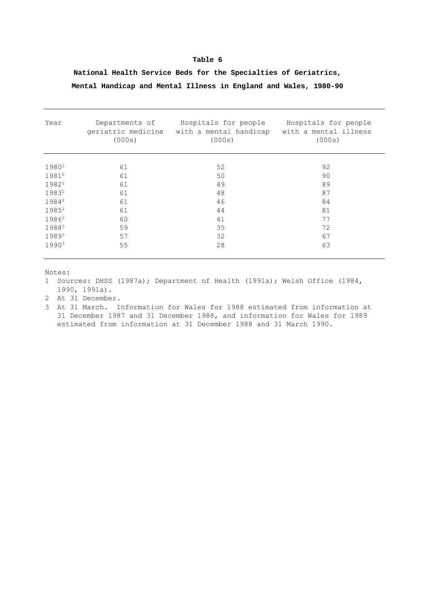#### **National Health Service Beds for the Specialties of Geriatrics, Mental Handicap and Mental Illness in England and Wales, 1980-90**

| Year              | Departments of<br>geriatric medicine<br>(000s) | Hospitals for people<br>with a mental handicap<br>(000s) | Hospitals for people<br>with a mental illness<br>(000s) |
|-------------------|------------------------------------------------|----------------------------------------------------------|---------------------------------------------------------|
| 1980 <sup>2</sup> | 61                                             | 52                                                       | 92                                                      |
| 19812             | 61                                             | 50                                                       | 90                                                      |
| 1982 <sup>2</sup> | 61                                             | 49                                                       | 89                                                      |
| 19832             | 61                                             | 48                                                       | 87                                                      |
| 19842             | 61                                             | 46                                                       | 84                                                      |
| 1985 <sup>2</sup> | 61                                             | 44                                                       | 81                                                      |
| 19862             | 60                                             | 41                                                       | 77                                                      |
| 19883             | 59                                             | 35                                                       | 72                                                      |
| 19893             | 57                                             | 32                                                       | 67                                                      |
| 19903             | 55                                             | 28                                                       | 63                                                      |

Notes:

1 Sources: DHSS (1987a); Department of Health (1991a); Welsh Office (1984, 1990, 1991a).

2 At 31 December.

3 At 31 March. Information for Wales for 1988 estimated from information at 31 December 1987 and 31 December 1988, and information for Wales for 1989 estimated from information at 31 December 1988 and 31 March 1990.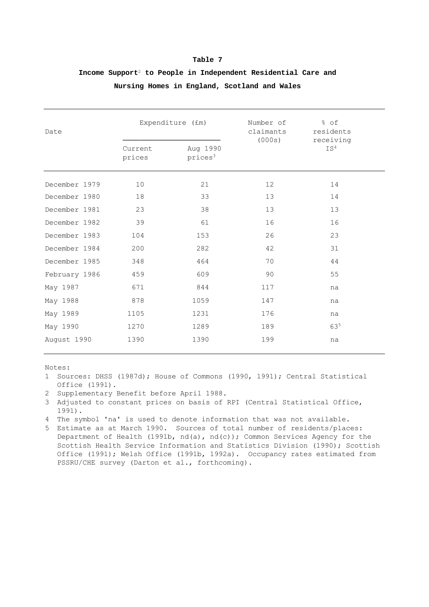| Date          |                   | Expenditure (£m)                | Number of<br>claimants<br>(000s) | % of<br>residents<br>receiving |
|---------------|-------------------|---------------------------------|----------------------------------|--------------------------------|
|               | Current<br>prices | Aug 1990<br>prices <sup>3</sup> |                                  | TS <sup>4</sup>                |
| December 1979 | 10                | 21                              | 12                               | 14                             |
| December 1980 | 18                | 33                              | 13                               | 14                             |
| December 1981 | 23                | 38                              | 13                               | 13                             |
| December 1982 | 39                | 61                              | 16                               | 16                             |
| December 1983 | 104               | 153                             | 26                               | 23                             |
| December 1984 | 200               | 282                             | 42                               | 31                             |
| December 1985 | 348               | 464                             | 70                               | 44                             |
| February 1986 | 459               | 609                             | 90                               | 55                             |
| May 1987      | 671               | 844                             | 117                              | na                             |
| May 1988      | 878               | 1059                            | 147                              | na                             |
| May 1989      | 1105              | 1231                            | 176                              | na                             |
| May 1990      | 1270              | 1289                            | 189                              | 635                            |
| August 1990   | 1390              | 1390                            | 199                              | na                             |

#### **Income Support**<sup>2</sup> **to People in Independent Residential Care and Nursing Homes in England, Scotland and Wales**

Notes:

1 Sources: DHSS (1987d); House of Commons (1990, 1991); Central Statistical Office (1991).

- 2 Supplementary Benefit before April 1988.
- 3 Adjusted to constant prices on basis of RPI (Central Statistical Office, 1991).
- 4 The symbol 'na' is used to denote information that was not available.
- 5 Estimate as at March 1990. Sources of total number of residents/places: Department of Health (1991b, nd(a), nd(c)); Common Services Agency for the Scottish Health Service Information and Statistics Division (1990); Scottish Office (1991); Welsh Office (1991b, 1992a). Occupancy rates estimated from PSSRU/CHE survey (Darton et al., forthcoming).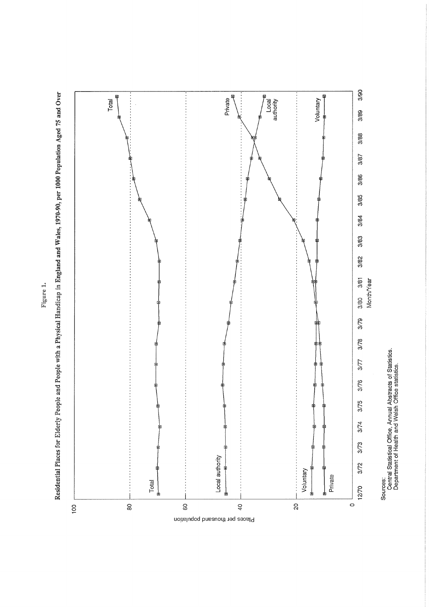



Sources:<br>Central Statistical Office, Annual Abstracts of Statistics.<br>Department of Health and Welsh Office statistics.